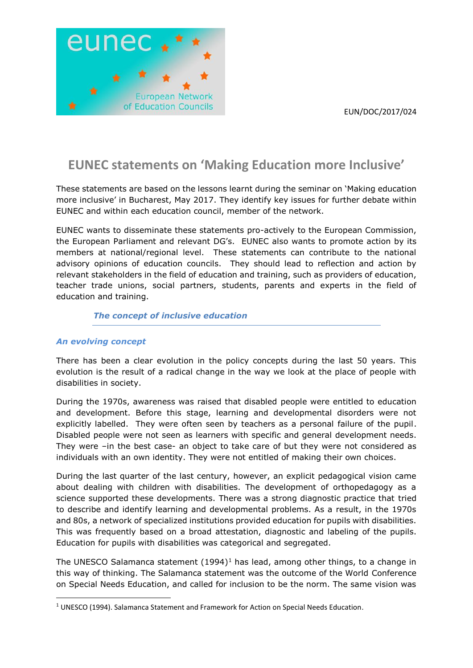

# **EUNEC statements on 'Making Education more Inclusive'**

These statements are based on the lessons learnt during the seminar on 'Making education more inclusive' in Bucharest, May 2017. They identify key issues for further debate within EUNEC and within each education council, member of the network.

EUNEC wants to disseminate these statements pro-actively to the European Commission, the European Parliament and relevant DG's. EUNEC also wants to promote action by its members at national/regional level. These statements can contribute to the national advisory opinions of education councils. They should lead to reflection and action by relevant stakeholders in the field of education and training, such as providers of education, teacher trade unions, social partners, students, parents and experts in the field of education and training.

# *The concept of inclusive education*

# *An evolving concept*

**.** 

There has been a clear evolution in the policy concepts during the last 50 years. This evolution is the result of a radical change in the way we look at the place of people with disabilities in society.

During the 1970s, awareness was raised that disabled people were entitled to education and development. Before this stage, learning and developmental disorders were not explicitly labelled. They were often seen by teachers as a personal failure of the pupil. Disabled people were not seen as learners with specific and general development needs. They were –in the best case- an object to take care of but they were not considered as individuals with an own identity. They were not entitled of making their own choices.

During the last quarter of the last century, however, an explicit pedagogical vision came about dealing with children with disabilities. The development of orthopedagogy as a science supported these developments. There was a strong diagnostic practice that tried to describe and identify learning and developmental problems. As a result, in the 1970s and 80s, a network of specialized institutions provided education for pupils with disabilities. This was frequently based on a broad attestation, diagnostic and labeling of the pupils. Education for pupils with disabilities was categorical and segregated.

The UNESCO Salamanca statement  $(1994)^1$  has lead, among other things, to a change in this way of thinking. The Salamanca statement was the outcome of the World Conference on Special Needs Education, and called for inclusion to be the norm. The same vision was

<sup>&</sup>lt;sup>1</sup> UNESCO (1994). Salamanca Statement and Framework for Action on Special Needs Education.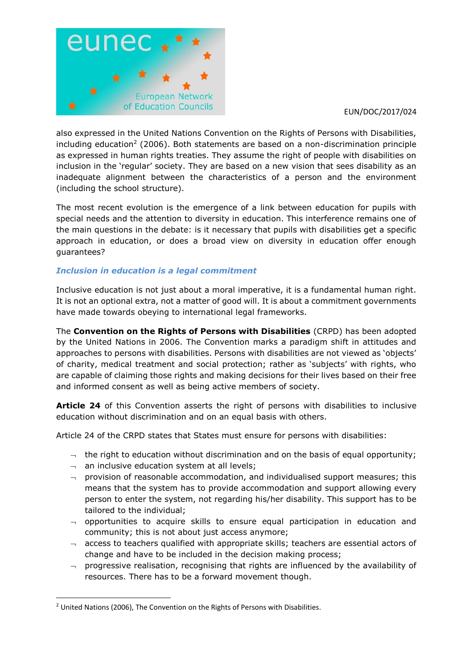

also expressed in the United Nations Convention on the Rights of Persons with Disabilities, including education<sup>2</sup> (2006). Both statements are based on a non-discrimination principle as expressed in human rights treaties. They assume the right of people with disabilities on inclusion in the 'regular' society. They are based on a new vision that sees disability as an inadequate alignment between the characteristics of a person and the environment (including the school structure).

The most recent evolution is the emergence of a link between education for pupils with special needs and the attention to diversity in education. This interference remains one of the main questions in the debate: is it necessary that pupils with disabilities get a specific approach in education, or does a broad view on diversity in education offer enough guarantees?

# *Inclusion in education is a legal commitment*

Inclusive education is not just about a moral imperative, it is a fundamental human right. It is not an optional extra, not a matter of good will. It is about a commitment governments have made towards obeying to international legal frameworks.

The **Convention on the Rights of Persons with Disabilities** (CRPD) has been adopted by the United Nations in 2006. The Convention marks a paradigm shift in attitudes and approaches to persons with disabilities. Persons with disabilities are not viewed as 'objects' of charity, medical treatment and social protection; rather as 'subjects' with rights, who are capable of claiming those rights and making decisions for their lives based on their free and informed consent as well as being active members of society.

**Article 24** of this Convention asserts the right of persons with disabilities to inclusive education without discrimination and on an equal basis with others.

Article 24 of the CRPD states that States must ensure for persons with disabilities:

- $\rightarrow$  the right to education without discrimination and on the basis of equal opportunity;
- $\lnot$  an inclusive education system at all levels;
- $\lnot$  provision of reasonable accommodation, and individualised support measures; this means that the system has to provide accommodation and support allowing every person to enter the system, not regarding his/her disability. This support has to be tailored to the individual;
- $\lnot$  opportunities to acquire skills to ensure equal participation in education and community; this is not about just access anymore;
- $\lnot$  access to teachers qualified with appropriate skills; teachers are essential actors of change and have to be included in the decision making process;
- $\rightarrow$  progressive realisation, recognising that rights are influenced by the availability of resources. There has to be a forward movement though.

**.** 

<sup>&</sup>lt;sup>2</sup> United Nations (2006), The Convention on the Rights of Persons with Disabilities.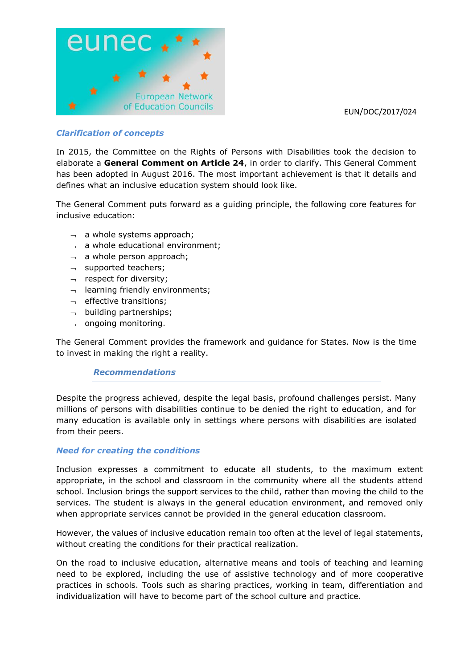

# *Clarification of concepts*

In 2015, the Committee on the Rights of Persons with Disabilities took the decision to elaborate a **General Comment on Article 24**, in order to clarify. This General Comment has been adopted in August 2016. The most important achievement is that it details and defines what an inclusive education system should look like.

The General Comment puts forward as a guiding principle, the following core features for inclusive education:

- $\lnot$  a whole systems approach;
- $\lnot$  a whole educational environment;
- $\lnot$  a whole person approach;
- $\lnot$  supported teachers;
- $\lnot$  respect for diversity;
- $\lnot$  learning friendly environments;
- $\lnot$  effective transitions;
- $\lnot$  building partnerships;
- $\lnot$  ongoing monitoring.

The General Comment provides the framework and guidance for States. Now is the time to invest in making the right a reality.

#### *Recommendations*

Despite the progress achieved, despite the legal basis, profound challenges persist. Many millions of persons with disabilities continue to be denied the right to education, and for many education is available only in settings where persons with disabilities are isolated from their peers.

#### *Need for creating the conditions*

Inclusion expresses a commitment to educate all students, to the maximum extent appropriate, in the school and classroom in the community where all the students attend school. Inclusion brings the support services to the child, rather than moving the child to the services. The student is always in the general education environment, and removed only when appropriate services cannot be provided in the general education classroom.

However, the values of inclusive education remain too often at the level of legal statements, without creating the conditions for their practical realization.

On the road to inclusive education, alternative means and tools of teaching and learning need to be explored, including the use of assistive technology and of more cooperative practices in schools. Tools such as sharing practices, working in team, differentiation and individualization will have to become part of the school culture and practice.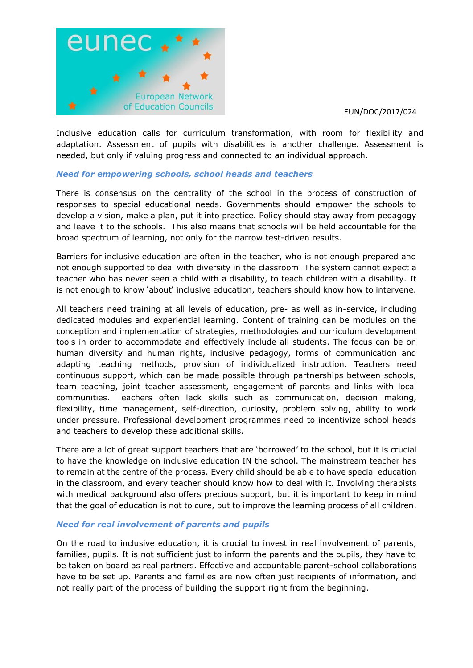

Inclusive education calls for curriculum transformation, with room for flexibility and adaptation. Assessment of pupils with disabilities is another challenge. Assessment is needed, but only if valuing progress and connected to an individual approach.

## *Need for empowering schools, school heads and teachers*

There is consensus on the centrality of the school in the process of construction of responses to special educational needs. Governments should empower the schools to develop a vision, make a plan, put it into practice. Policy should stay away from pedagogy and leave it to the schools. This also means that schools will be held accountable for the broad spectrum of learning, not only for the narrow test-driven results.

Barriers for inclusive education are often in the teacher, who is not enough prepared and not enough supported to deal with diversity in the classroom. The system cannot expect a teacher who has never seen a child with a disability, to teach children with a disability. It is not enough to know 'about' inclusive education, teachers should know how to intervene.

All teachers need training at all levels of education, pre- as well as in-service, including dedicated modules and experiential learning. Content of training can be modules on the conception and implementation of strategies, methodologies and curriculum development tools in order to accommodate and effectively include all students. The focus can be on human diversity and human rights, inclusive pedagogy, forms of communication and adapting teaching methods, provision of individualized instruction. Teachers need continuous support, which can be made possible through partnerships between schools, team teaching, joint teacher assessment, engagement of parents and links with local communities. Teachers often lack skills such as communication, decision making, flexibility, time management, self-direction, curiosity, problem solving, ability to work under pressure. Professional development programmes need to incentivize school heads and teachers to develop these additional skills.

There are a lot of great support teachers that are 'borrowed' to the school, but it is crucial to have the knowledge on inclusive education IN the school. The mainstream teacher has to remain at the centre of the process. Every child should be able to have special education in the classroom, and every teacher should know how to deal with it. Involving therapists with medical background also offers precious support, but it is important to keep in mind that the goal of education is not to cure, but to improve the learning process of all children.

# *Need for real involvement of parents and pupils*

On the road to inclusive education, it is crucial to invest in real involvement of parents, families, pupils. It is not sufficient just to inform the parents and the pupils, they have to be taken on board as real partners. Effective and accountable parent-school collaborations have to be set up. Parents and families are now often just recipients of information, and not really part of the process of building the support right from the beginning.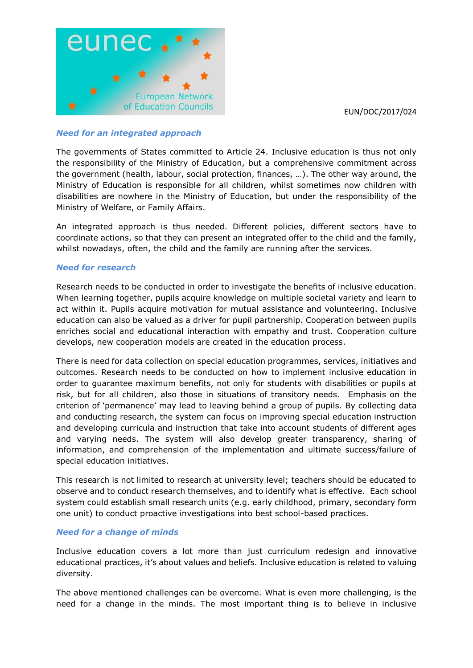



### *Need for an integrated approach*

The governments of States committed to Article 24. Inclusive education is thus not only the responsibility of the Ministry of Education, but a comprehensive commitment across the government (health, labour, social protection, finances, …). The other way around, the Ministry of Education is responsible for all children, whilst sometimes now children with disabilities are nowhere in the Ministry of Education, but under the responsibility of the Ministry of Welfare, or Family Affairs.

An integrated approach is thus needed. Different policies, different sectors have to coordinate actions, so that they can present an integrated offer to the child and the family, whilst nowadays, often, the child and the family are running after the services.

## *Need for research*

Research needs to be conducted in order to investigate the benefits of inclusive education. When learning together, pupils acquire knowledge on multiple societal variety and learn to act within it. Pupils acquire motivation for mutual assistance and volunteering. Inclusive education can also be valued as a driver for pupil partnership. Cooperation between pupils enriches social and educational interaction with empathy and trust. Cooperation culture develops, new cooperation models are created in the education process.

There is need for data collection on special education programmes, services, initiatives and outcomes. Research needs to be conducted on how to implement inclusive education in order to guarantee maximum benefits, not only for students with disabilities or pupils at risk, but for all children, also those in situations of transitory needs. Emphasis on the criterion of 'permanence' may lead to leaving behind a group of pupils. By collecting data and conducting research, the system can focus on improving special education instruction and developing curricula and instruction that take into account students of different ages and varying needs. The system will also develop greater transparency, sharing of information, and comprehension of the implementation and ultimate success/failure of special education initiatives.

This research is not limited to research at university level; teachers should be educated to observe and to conduct research themselves, and to identify what is effective. Each school system could establish small research units (e.g. early childhood, primary, secondary form one unit) to conduct proactive investigations into best school-based practices.

#### *Need for a change of minds*

Inclusive education covers a lot more than just curriculum redesign and innovative educational practices, it's about values and beliefs. Inclusive education is related to valuing diversity.

The above mentioned challenges can be overcome. What is even more challenging, is the need for a change in the minds. The most important thing is to believe in inclusive